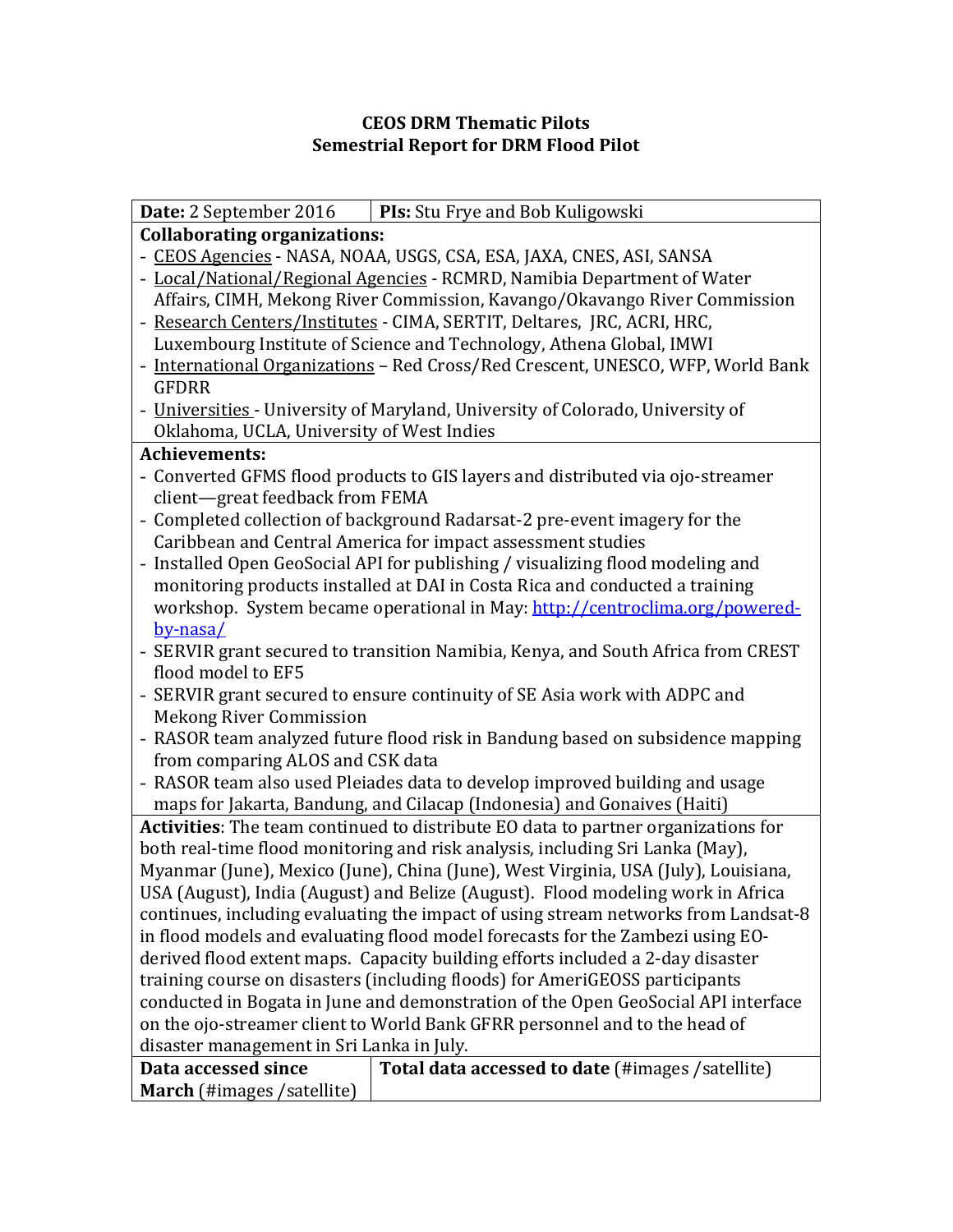## **CEOS DRM Thematic Pilots Semestrial Report for DRM Flood Pilot**

|                                                                                    | <b>Date:</b> 2 September 2016   <b>PIs:</b> Stu Frye and Bob Kuligowski          |  |  |  |  |
|------------------------------------------------------------------------------------|----------------------------------------------------------------------------------|--|--|--|--|
| <b>Collaborating organizations:</b>                                                |                                                                                  |  |  |  |  |
| - CEOS Agencies - NASA, NOAA, USGS, CSA, ESA, JAXA, CNES, ASI, SANSA               |                                                                                  |  |  |  |  |
| - Local/National/Regional Agencies - RCMRD, Namibia Department of Water            |                                                                                  |  |  |  |  |
| Affairs, CIMH, Mekong River Commission, Kavango/Okavango River Commission          |                                                                                  |  |  |  |  |
| - Research Centers/Institutes - CIMA, SERTIT, Deltares, JRC, ACRI, HRC,            |                                                                                  |  |  |  |  |
| Luxembourg Institute of Science and Technology, Athena Global, IMWI                |                                                                                  |  |  |  |  |
| - International Organizations - Red Cross/Red Crescent, UNESCO, WFP, World Bank    |                                                                                  |  |  |  |  |
| <b>GFDRR</b>                                                                       |                                                                                  |  |  |  |  |
| - Universities - University of Maryland, University of Colorado, University of     |                                                                                  |  |  |  |  |
| Oklahoma, UCLA, University of West Indies                                          |                                                                                  |  |  |  |  |
| <b>Achievements:</b>                                                               |                                                                                  |  |  |  |  |
| - Converted GFMS flood products to GIS layers and distributed via ojo-streamer     |                                                                                  |  |  |  |  |
| client-great feedback from FEMA                                                    |                                                                                  |  |  |  |  |
| - Completed collection of background Radarsat-2 pre-event imagery for the          |                                                                                  |  |  |  |  |
| Caribbean and Central America for impact assessment studies                        |                                                                                  |  |  |  |  |
| - Installed Open GeoSocial API for publishing / visualizing flood modeling and     |                                                                                  |  |  |  |  |
|                                                                                    | monitoring products installed at DAI in Costa Rica and conducted a training      |  |  |  |  |
| workshop. System became operational in May: http://centroclima.org/powered-        |                                                                                  |  |  |  |  |
| by-nasa/                                                                           |                                                                                  |  |  |  |  |
|                                                                                    | - SERVIR grant secured to transition Namibia, Kenya, and South Africa from CREST |  |  |  |  |
| flood model to EF5                                                                 |                                                                                  |  |  |  |  |
|                                                                                    | - SERVIR grant secured to ensure continuity of SE Asia work with ADPC and        |  |  |  |  |
| <b>Mekong River Commission</b>                                                     |                                                                                  |  |  |  |  |
|                                                                                    | - RASOR team analyzed future flood risk in Bandung based on subsidence mapping   |  |  |  |  |
| from comparing ALOS and CSK data                                                   |                                                                                  |  |  |  |  |
| - RASOR team also used Pleiades data to develop improved building and usage        |                                                                                  |  |  |  |  |
| maps for Jakarta, Bandung, and Cilacap (Indonesia) and Gonaives (Haiti)            |                                                                                  |  |  |  |  |
| Activities: The team continued to distribute EO data to partner organizations for  |                                                                                  |  |  |  |  |
| both real-time flood monitoring and risk analysis, including Sri Lanka (May),      |                                                                                  |  |  |  |  |
| Myanmar (June), Mexico (June), China (June), West Virginia, USA (July), Louisiana, |                                                                                  |  |  |  |  |
| USA (August), India (August) and Belize (August). Flood modeling work in Africa    |                                                                                  |  |  |  |  |
| continues, including evaluating the impact of using stream networks from Landsat-8 |                                                                                  |  |  |  |  |
| in flood models and evaluating flood model forecasts for the Zambezi using EO-     |                                                                                  |  |  |  |  |
| derived flood extent maps. Capacity building efforts included a 2-day disaster     |                                                                                  |  |  |  |  |
| training course on disasters (including floods) for AmeriGEOSS participants        |                                                                                  |  |  |  |  |
| conducted in Bogata in June and demonstration of the Open GeoSocial API interface  |                                                                                  |  |  |  |  |
| on the ojo-streamer client to World Bank GFRR personnel and to the head of         |                                                                                  |  |  |  |  |
| disaster management in Sri Lanka in July.                                          |                                                                                  |  |  |  |  |
| Data accessed since                                                                | Total data accessed to date (#images /satellite)                                 |  |  |  |  |
| March (#images /satellite)                                                         |                                                                                  |  |  |  |  |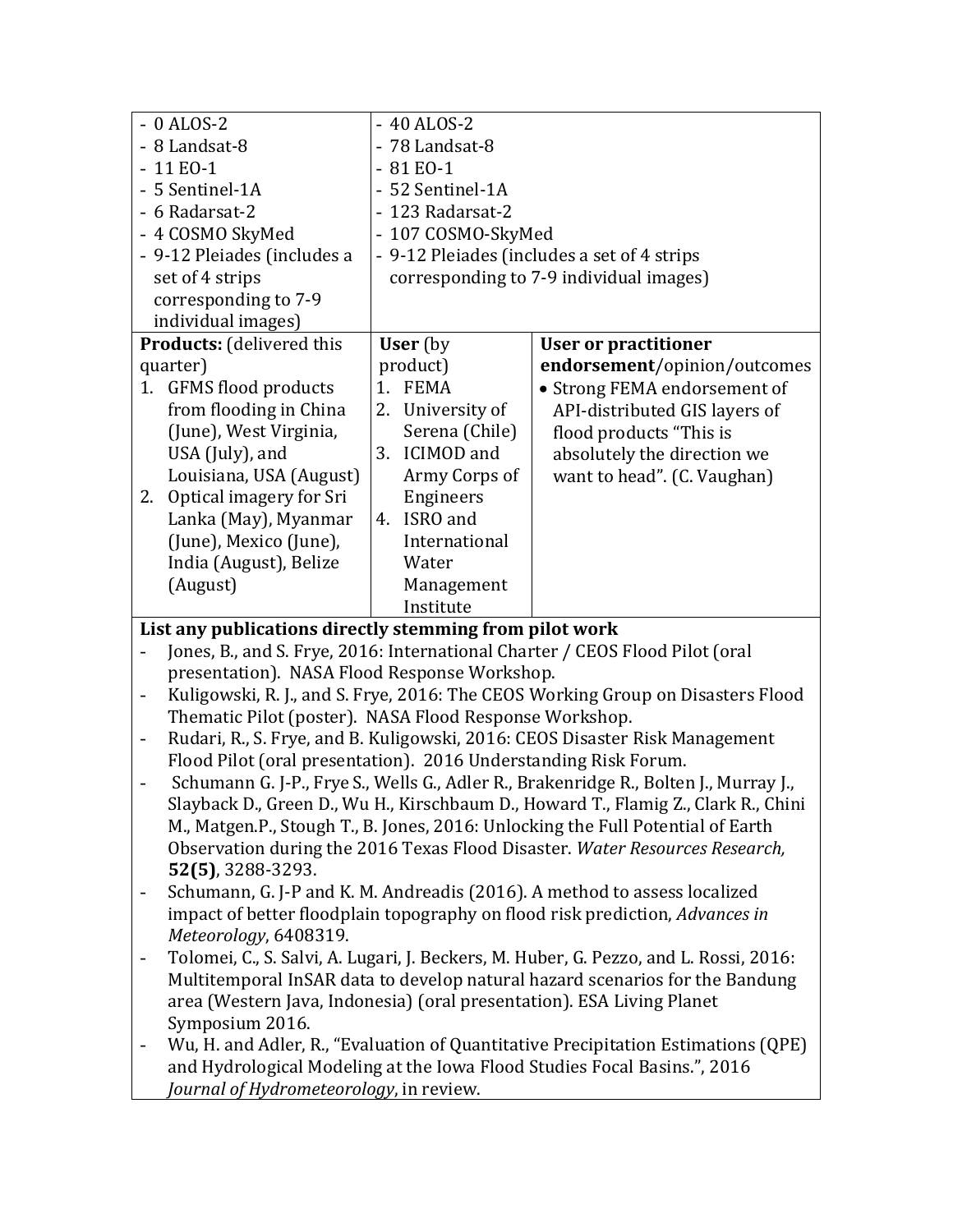|                                                         | $-0$ ALOS-2                                                                           |                | $-40$ ALOS-2                                |                               |  |  |  |
|---------------------------------------------------------|---------------------------------------------------------------------------------------|----------------|---------------------------------------------|-------------------------------|--|--|--|
|                                                         | - 8 Landsat-8                                                                         | - 78 Landsat-8 |                                             |                               |  |  |  |
|                                                         | $-11 E0-1$                                                                            | $-81 E0-1$     |                                             |                               |  |  |  |
|                                                         | - 5 Sentinel-1A                                                                       |                | - 52 Sentinel-1A                            |                               |  |  |  |
|                                                         | - 6 Radarsat-2                                                                        |                | - 123 Radarsat-2                            |                               |  |  |  |
|                                                         | - 4 COSMO SkyMed                                                                      |                | - 107 COSMO-SkyMed                          |                               |  |  |  |
|                                                         | - 9-12 Pleiades (includes a                                                           |                | - 9-12 Pleiades (includes a set of 4 strips |                               |  |  |  |
|                                                         | set of 4 strips                                                                       |                | corresponding to 7-9 individual images)     |                               |  |  |  |
|                                                         | corresponding to 7-9                                                                  |                |                                             |                               |  |  |  |
| individual images)                                      |                                                                                       |                |                                             |                               |  |  |  |
|                                                         | <b>Products:</b> (delivered this                                                      |                | User (by<br><b>User or practitioner</b>     |                               |  |  |  |
|                                                         | quarter)                                                                              |                | product)                                    | endorsement/opinion/outcomes  |  |  |  |
|                                                         | 1. GFMS flood products                                                                | 1.             | <b>FEMA</b>                                 | • Strong FEMA endorsement of  |  |  |  |
|                                                         | from flooding in China                                                                | 2.             | University of                               | API-distributed GIS layers of |  |  |  |
|                                                         | (June), West Virginia,                                                                |                | Serena (Chile)                              | flood products "This is       |  |  |  |
|                                                         | USA (July), and                                                                       | 3.             | <b>ICIMOD</b> and                           | absolutely the direction we   |  |  |  |
|                                                         | Louisiana, USA (August)                                                               |                | Army Corps of                               | want to head". (C. Vaughan)   |  |  |  |
| 2.                                                      | Optical imagery for Sri                                                               |                | Engineers                                   |                               |  |  |  |
|                                                         | Lanka (May), Myanmar                                                                  | 4.             | ISRO and                                    |                               |  |  |  |
|                                                         | (June), Mexico (June),                                                                |                | International                               |                               |  |  |  |
|                                                         | India (August), Belize                                                                |                | Water                                       |                               |  |  |  |
|                                                         | (August)                                                                              |                | Management                                  |                               |  |  |  |
|                                                         |                                                                                       |                | Institute                                   |                               |  |  |  |
| List any publications directly stemming from pilot work |                                                                                       |                |                                             |                               |  |  |  |
|                                                         | Jones, B., and S. Frye, 2016: International Charter / CEOS Flood Pilot (oral          |                |                                             |                               |  |  |  |
|                                                         | presentation). NASA Flood Response Workshop.                                          |                |                                             |                               |  |  |  |
| $\overline{\phantom{a}}$                                | Kuligowski, R. J., and S. Frye, 2016: The CEOS Working Group on Disasters Flood       |                |                                             |                               |  |  |  |
|                                                         | Thematic Pilot (poster). NASA Flood Response Workshop.                                |                |                                             |                               |  |  |  |
| $\overline{\phantom{a}}$                                | Rudari, R., S. Frye, and B. Kuligowski, 2016: CEOS Disaster Risk Management           |                |                                             |                               |  |  |  |
|                                                         | Flood Pilot (oral presentation). 2016 Understanding Risk Forum.                       |                |                                             |                               |  |  |  |
|                                                         | Schumann G. J-P., Frye S., Wells G., Adler R., Brakenridge R., Bolten J., Murray J.,  |                |                                             |                               |  |  |  |
|                                                         | Slayback D., Green D., Wu H., Kirschbaum D., Howard T., Flamig Z., Clark R., Chini    |                |                                             |                               |  |  |  |
|                                                         | M., Matgen.P., Stough T., B. Jones, 2016: Unlocking the Full Potential of Earth       |                |                                             |                               |  |  |  |
|                                                         | Observation during the 2016 Texas Flood Disaster. Water Resources Research,           |                |                                             |                               |  |  |  |
|                                                         | $52(5)$ , 3288-3293.                                                                  |                |                                             |                               |  |  |  |
| $\overline{a}$                                          | Schumann, G. J-P and K. M. Andreadis (2016). A method to assess localized             |                |                                             |                               |  |  |  |
|                                                         | impact of better floodplain topography on flood risk prediction, Advances in          |                |                                             |                               |  |  |  |
|                                                         | Meteorology, 6408319.                                                                 |                |                                             |                               |  |  |  |
| $\overline{a}$                                          | Tolomei, C., S. Salvi, A. Lugari, J. Beckers, M. Huber, G. Pezzo, and L. Rossi, 2016: |                |                                             |                               |  |  |  |
|                                                         | Multitemporal InSAR data to develop natural hazard scenarios for the Bandung          |                |                                             |                               |  |  |  |
|                                                         | area (Western Java, Indonesia) (oral presentation). ESA Living Planet                 |                |                                             |                               |  |  |  |
|                                                         | Symposium 2016.                                                                       |                |                                             |                               |  |  |  |
| $\overline{\phantom{0}}$                                | Wu, H. and Adler, R., "Evaluation of Quantitative Precipitation Estimations (QPE)     |                |                                             |                               |  |  |  |
|                                                         | and Hydrological Modeling at the Iowa Flood Studies Focal Basins.", 2016              |                |                                             |                               |  |  |  |
|                                                         | Journal of Hydrometeorology, in review.                                               |                |                                             |                               |  |  |  |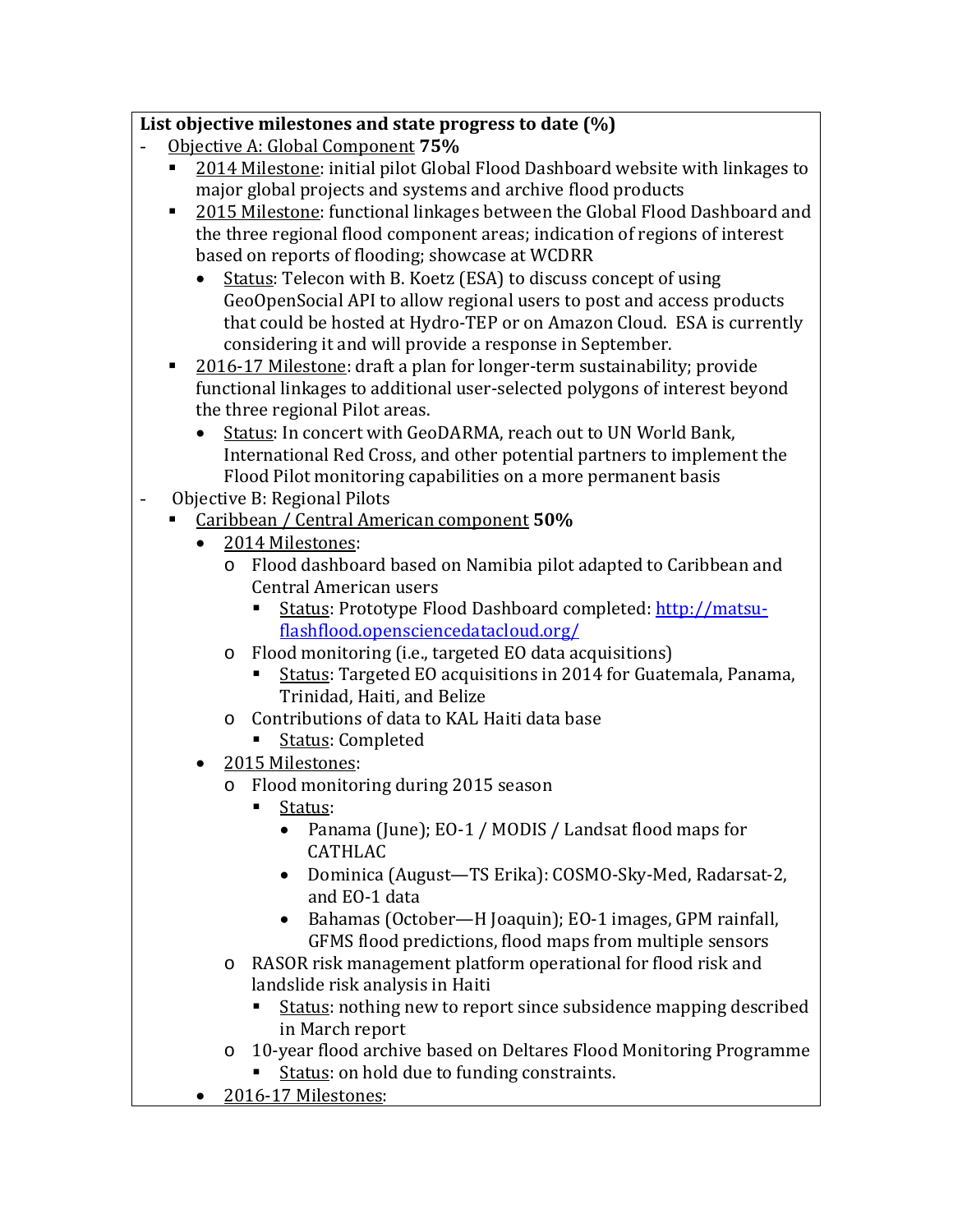## **List objective milestones and state progress to date (%)**

- Objective A: Global Component **75%**
	- 2014 Milestone: initial pilot Global Flood Dashboard website with linkages to major global projects and systems and archive flood products
	- **2015 Milestone: functional linkages between the Global Flood Dashboard and** the three regional flood component areas; indication of regions of interest based on reports of flooding; showcase at WCDRR
		- Status: Telecon with B. Koetz (ESA) to discuss concept of using GeoOpenSocial API to allow regional users to post and access products that could be hosted at Hydro-TEP or on Amazon Cloud. ESA is currently considering it and will provide a response in September.
	- 2016-17 Milestone: draft a plan for longer-term sustainability; provide functional linkages to additional user-selected polygons of interest beyond the three regional Pilot areas.
		- Status: In concert with GeoDARMA, reach out to UN World Bank, International Red Cross, and other potential partners to implement the Flood Pilot monitoring capabilities on a more permanent basis
- Objective B: Regional Pilots<br>Caribbean / Central Ame
	- Caribbean / Central American component **50%**
		- 2014 Milestones:
			- o Flood dashboard based on Namibia pilot adapted to Caribbean and Central American users
				- Status: Prototype Flood Dashboard completed: [http://matsu](http://matsu-flashflood.opensciencedatacloud.org/)[flashflood.opensciencedatacloud.org/](http://matsu-flashflood.opensciencedatacloud.org/)
			- o Flood monitoring (i.e., targeted EO data acquisitions)
				- Status: Targeted EO acquisitions in 2014 for Guatemala, Panama, Trinidad, Haiti, and Belize
			- o Contributions of data to KAL Haiti data base
				- Status: Completed
		- 2015 Milestones:
			- o Flood monitoring during 2015 season
				- Status:
					- Panama (June); EO-1 / MODIS / Landsat flood maps for CATHLAC
					- Dominica (August—TS Erika): COSMO-Sky-Med, Radarsat-2, and EO-1 data
					- Bahamas (October—H Joaquin); EO-1 images, GPM rainfall, GFMS flood predictions, flood maps from multiple sensors
			- o RASOR risk management platform operational for flood risk and landslide risk analysis in Haiti
				- Status: nothing new to report since subsidence mapping described in March report
			- o 10-year flood archive based on Deltares Flood Monitoring Programme Status: on hold due to funding constraints.
		- 2016-17 Milestones: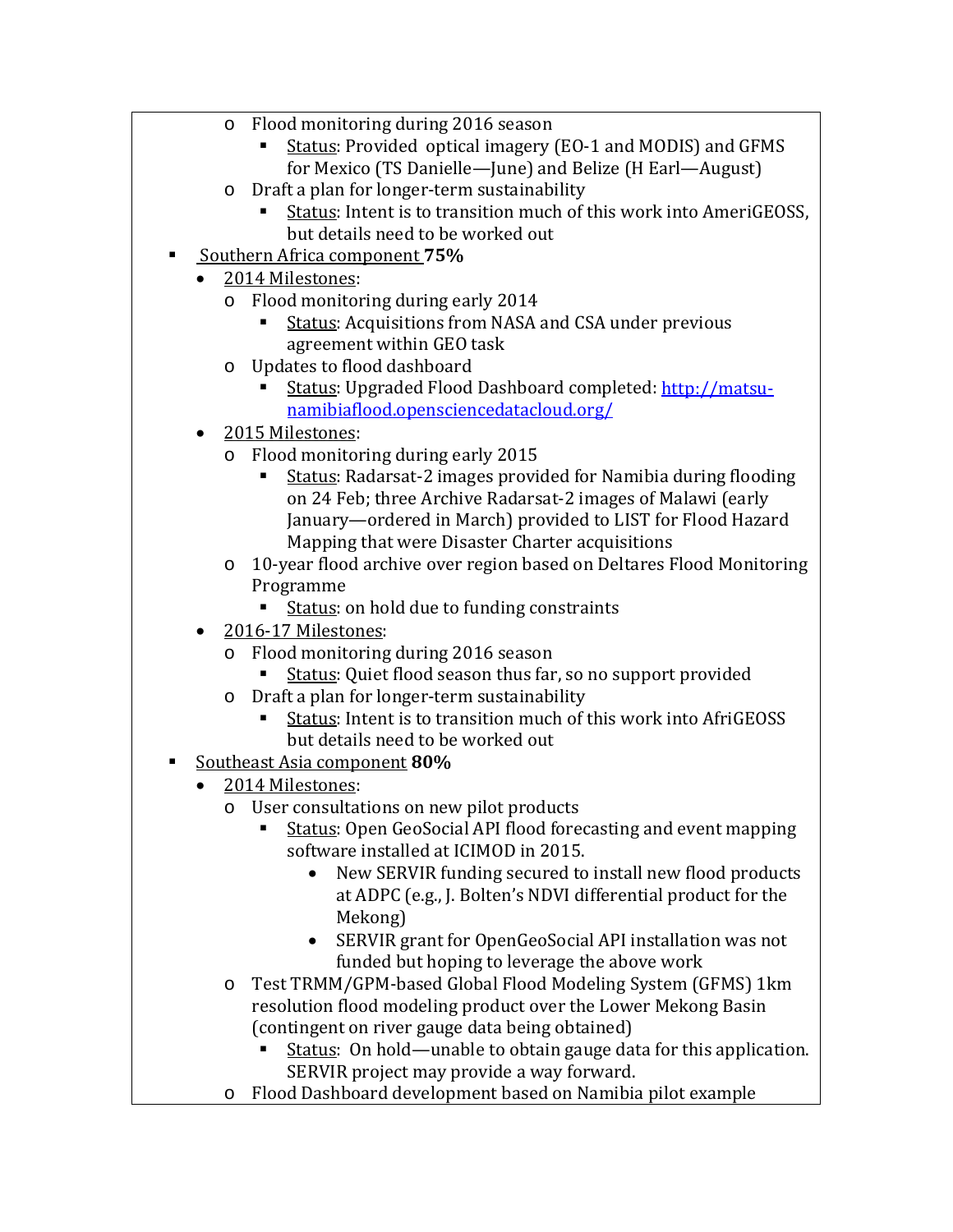- o Flood monitoring during 2016 season
	- Status: Provided optical imagery (EO-1 and MODIS) and GFMS for Mexico (TS Danielle—June) and Belize (H Earl—August)
- o Draft a plan for longer-term sustainability
	- Status: Intent is to transition much of this work into AmeriGEOSS, but details need to be worked out
- Southern Africa component **75%**
	- 2014 Milestones:
		- o Flood monitoring during early 2014
			- **EXECUTE:** Acquisitions from NASA and CSA under previous agreement within GEO task
		- o Updates to flood dashboard
			- Status: Upgraded Flood Dashboard completed: [http://matsu](http://matsu-namibiaflood.opensciencedatacloud.org/)[namibiaflood.opensciencedatacloud.org/](http://matsu-namibiaflood.opensciencedatacloud.org/)
	- 2015 Milestones:<br>
	o Flood monitor
		- Flood monitoring during early 2015
			- Status: Radarsat-2 images provided for Namibia during flooding on 24 Feb; three Archive Radarsat-2 images of Malawi (early January—ordered in March) provided to LIST for Flood Hazard Mapping that were Disaster Charter acquisitions
		- o 10-year flood archive over region based on Deltares Flood Monitoring Programme
			- Status: on hold due to funding constraints
	- 2016-17 Milestones:
		- Flood monitoring during 2016 season<br>Status: Ouiet flood season thus far
			- Status: Quiet flood season thus far, so no support provided
		- o Draft a plan for longer-term sustainability
			- Status: Intent is to transition much of this work into AfriGEOSS but details need to be worked out
- Southeast Asia component **80%**
	- 2014 Milestones:
		- o User consultations on new pilot products
			- Status: Open GeoSocial API flood forecasting and event mapping software installed at ICIMOD in 2015.
				- New SERVIR funding secured to install new flood products at ADPC (e.g., J. Bolten's NDVI differential product for the Mekong)
				- SERVIR grant for OpenGeoSocial API installation was not funded but hoping to leverage the above work
		- o Test TRMM/GPM-based Global Flood Modeling System (GFMS) 1km resolution flood modeling product over the Lower Mekong Basin (contingent on river gauge data being obtained)
			- Status: On hold—unable to obtain gauge data for this application. SERVIR project may provide a way forward.
		- o Flood Dashboard development based on Namibia pilot example